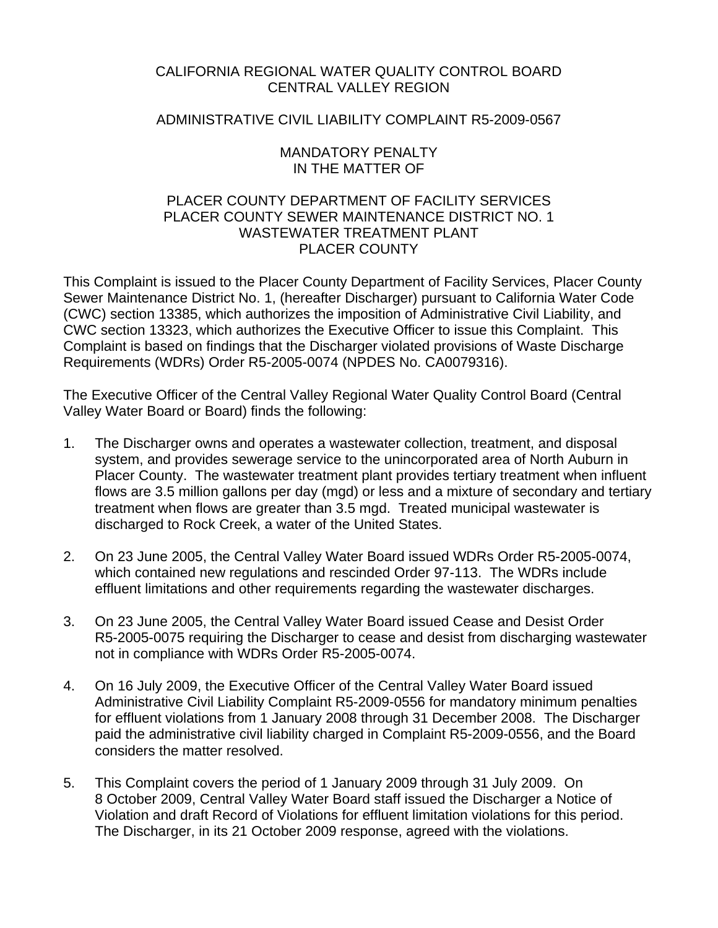# CALIFORNIA REGIONAL WATER QUALITY CONTROL BOARD CENTRAL VALLEY REGION

# ADMINISTRATIVE CIVIL LIABILITY COMPLAINT R5-2009-0567

## MANDATORY PENALTY IN THE MATTER OF

# PLACER COUNTY DEPARTMENT OF FACILITY SERVICES PLACER COUNTY SEWER MAINTENANCE DISTRICT NO. 1 WASTEWATER TREATMENT PLANT PLACER COUNTY

This Complaint is issued to the Placer County Department of Facility Services, Placer County Sewer Maintenance District No. 1, (hereafter Discharger) pursuant to California Water Code (CWC) section 13385, which authorizes the imposition of Administrative Civil Liability, and CWC section 13323, which authorizes the Executive Officer to issue this Complaint. This Complaint is based on findings that the Discharger violated provisions of Waste Discharge Requirements (WDRs) Order R5-2005-0074 (NPDES No. CA0079316).

The Executive Officer of the Central Valley Regional Water Quality Control Board (Central Valley Water Board or Board) finds the following:

- 1. The Discharger owns and operates a wastewater collection, treatment, and disposal system, and provides sewerage service to the unincorporated area of North Auburn in Placer County. The wastewater treatment plant provides tertiary treatment when influent flows are 3.5 million gallons per day (mgd) or less and a mixture of secondary and tertiary treatment when flows are greater than 3.5 mgd. Treated municipal wastewater is discharged to Rock Creek, a water of the United States.
- 2. On 23 June 2005, the Central Valley Water Board issued WDRs Order R5-2005-0074, which contained new regulations and rescinded Order 97-113. The WDRs include effluent limitations and other requirements regarding the wastewater discharges.
- 3. On 23 June 2005, the Central Valley Water Board issued Cease and Desist Order R5-2005-0075 requiring the Discharger to cease and desist from discharging wastewater not in compliance with WDRs Order R5-2005-0074.
- 4. On 16 July 2009, the Executive Officer of the Central Valley Water Board issued Administrative Civil Liability Complaint R5-2009-0556 for mandatory minimum penalties for effluent violations from 1 January 2008 through 31 December 2008. The Discharger paid the administrative civil liability charged in Complaint R5-2009-0556, and the Board considers the matter resolved.
- 5. This Complaint covers the period of 1 January 2009 through 31 July 2009. On 8 October 2009, Central Valley Water Board staff issued the Discharger a Notice of Violation and draft Record of Violations for effluent limitation violations for this period. The Discharger, in its 21 October 2009 response, agreed with the violations.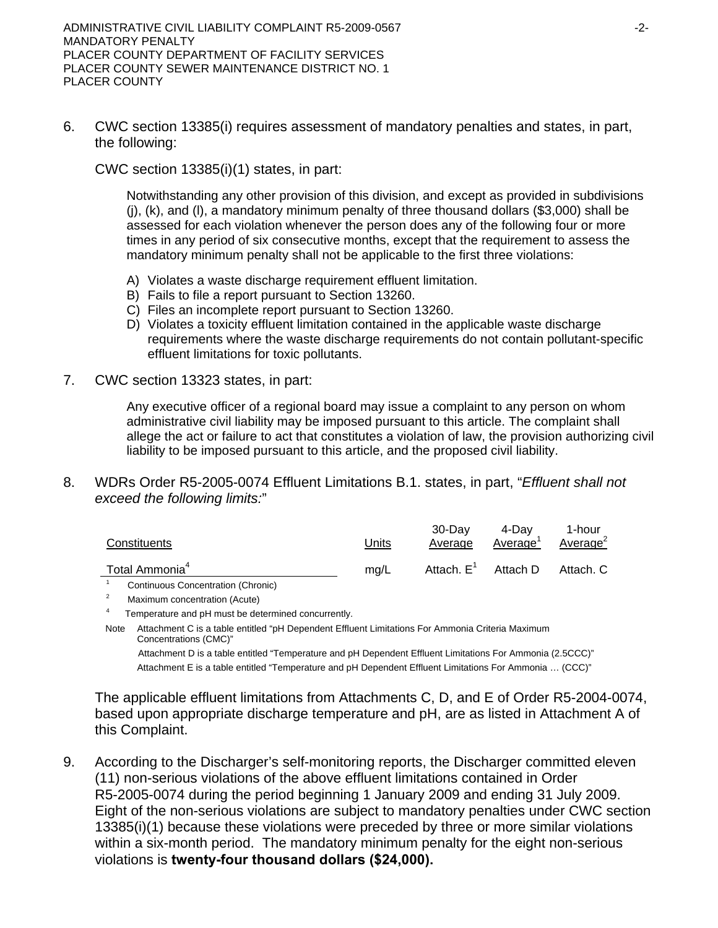6. CWC section 13385(i) requires assessment of mandatory penalties and states, in part, the following:

CWC section 13385(i)(1) states, in part:

Notwithstanding any other provision of this division, and except as provided in subdivisions (j), (k), and (l), a mandatory minimum penalty of three thousand dollars (\$3,000) shall be assessed for each violation whenever the person does any of the following four or more times in any period of six consecutive months, except that the requirement to assess the mandatory minimum penalty shall not be applicable to the first three violations:

- A) Violates a waste discharge requirement effluent limitation.
- B) Fails to file a report pursuant to Section 13260.
- C) Files an incomplete report pursuant to Section 13260.
- D) Violates a toxicity effluent limitation contained in the applicable waste discharge requirements where the waste discharge requirements do not contain pollutant-specific effluent limitations for toxic pollutants.
- 7. CWC section 13323 states, in part:

Any executive officer of a regional board may issue a complaint to any person on whom administrative civil liability may be imposed pursuant to this article. The complaint shall allege the act or failure to act that constitutes a violation of law, the provision authorizing civil liability to be imposed pursuant to this article, and the proposed civil liability.

8. WDRs Order R5-2005-0074 Effluent Limitations B.1. states, in part, "*Effluent shall not exceed the following limits:*"

| Constituents                                                     | Units | 30-Dav<br>Average | 4-Dav<br>Average <sup>1</sup>    | 1-hour<br>Average <sup>2</sup> |
|------------------------------------------------------------------|-------|-------------------|----------------------------------|--------------------------------|
| Total Ammonia <sup>4</sup><br>Continuous Concentration (Chronic) | ma/L  |                   | Attach. $E^1$ Attach D Attach. C |                                |

<sup>1</sup> Continuous Concentration (Chronic)

4 Temperature and pH must be determined concurrently.

Note Attachment C is a table entitled "pH Dependent Effluent Limitations For Ammonia Criteria Maximum Concentrations (CMC)"

 Attachment D is a table entitled "Temperature and pH Dependent Effluent Limitations For Ammonia (2.5CCC)" Attachment E is a table entitled "Temperature and pH Dependent Effluent Limitations For Ammonia … (CCC)"

The applicable effluent limitations from Attachments C, D, and E of Order R5-2004-0074, based upon appropriate discharge temperature and pH, are as listed in Attachment A of this Complaint.

9. According to the Discharger's self-monitoring reports, the Discharger committed eleven (11) non-serious violations of the above effluent limitations contained in Order R5-2005-0074 during the period beginning 1 January 2009 and ending 31 July 2009. Eight of the non-serious violations are subject to mandatory penalties under CWC section 13385(i)(1) because these violations were preceded by three or more similar violations within a six-month period. The mandatory minimum penalty for the eight non-serious violations is **twenty-four thousand dollars (\$24,000).**

<sup>2</sup> Maximum concentration (Acute)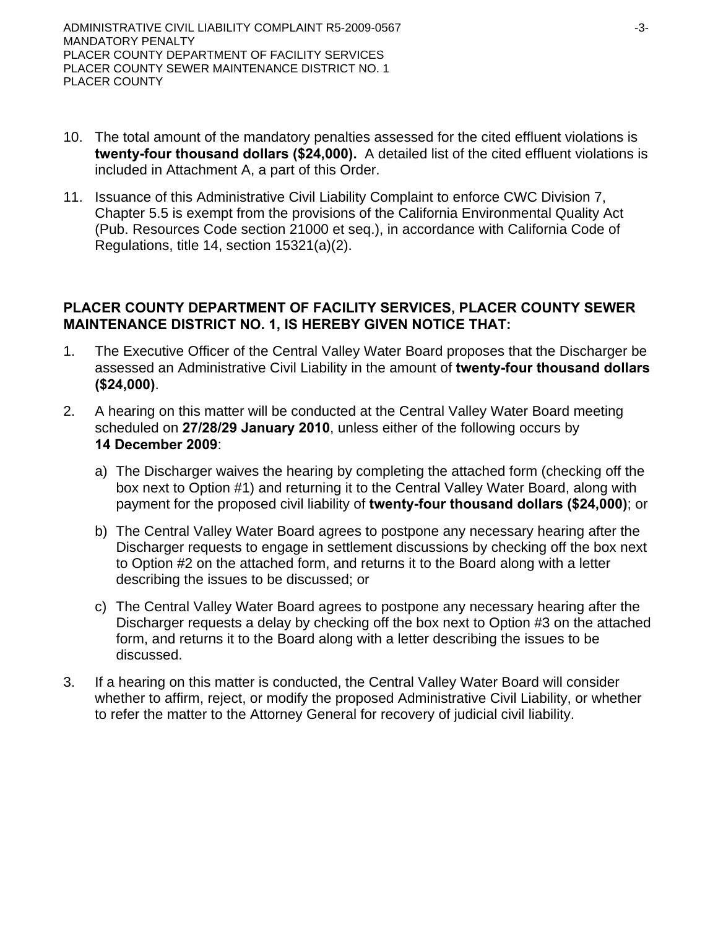- 10. The total amount of the mandatory penalties assessed for the cited effluent violations is **twenty-four thousand dollars (\$24,000).** A detailed list of the cited effluent violations is included in Attachment A, a part of this Order.
- 11. Issuance of this Administrative Civil Liability Complaint to enforce CWC Division 7, Chapter 5.5 is exempt from the provisions of the California Environmental Quality Act (Pub. Resources Code section 21000 et seq.), in accordance with California Code of Regulations, title 14, section 15321(a)(2).

# **PLACER COUNTY DEPARTMENT OF FACILITY SERVICES, PLACER COUNTY SEWER MAINTENANCE DISTRICT NO. 1, IS HEREBY GIVEN NOTICE THAT:**

- 1. The Executive Officer of the Central Valley Water Board proposes that the Discharger be assessed an Administrative Civil Liability in the amount of **twenty-four thousand dollars (\$24,000)**.
- 2. A hearing on this matter will be conducted at the Central Valley Water Board meeting scheduled on **27/28/29 January 2010**, unless either of the following occurs by **14 December 2009**:
	- a) The Discharger waives the hearing by completing the attached form (checking off the box next to Option #1) and returning it to the Central Valley Water Board, along with payment for the proposed civil liability of **twenty-four thousand dollars (\$24,000)**; or
	- b) The Central Valley Water Board agrees to postpone any necessary hearing after the Discharger requests to engage in settlement discussions by checking off the box next to Option #2 on the attached form, and returns it to the Board along with a letter describing the issues to be discussed; or
	- c) The Central Valley Water Board agrees to postpone any necessary hearing after the Discharger requests a delay by checking off the box next to Option #3 on the attached form, and returns it to the Board along with a letter describing the issues to be discussed.
- 3. If a hearing on this matter is conducted, the Central Valley Water Board will consider whether to affirm, reject, or modify the proposed Administrative Civil Liability, or whether to refer the matter to the Attorney General for recovery of judicial civil liability.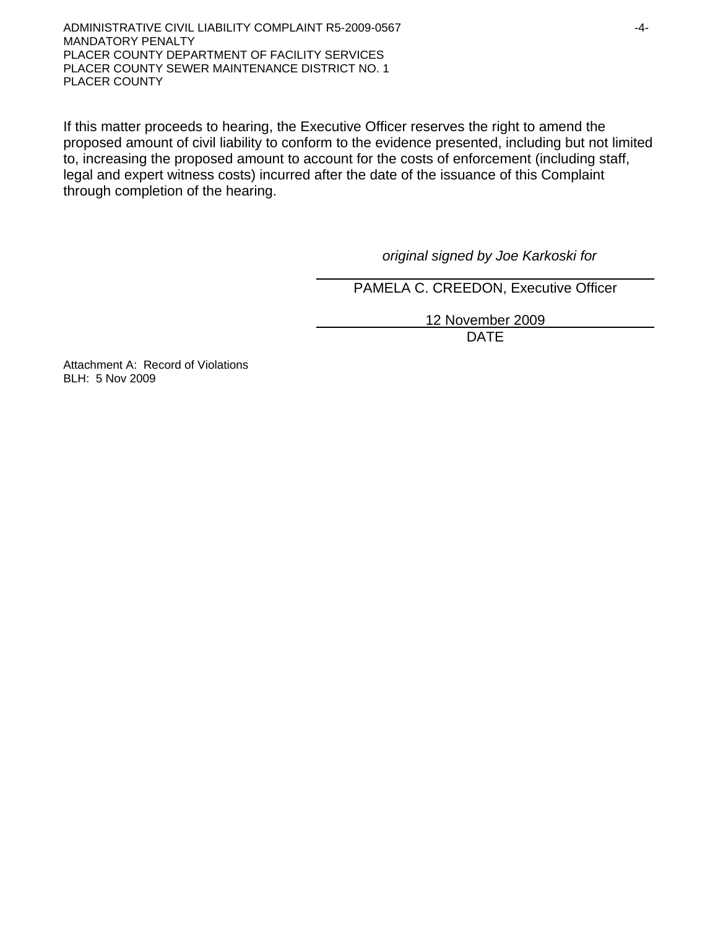ADMINISTRATIVE CIVIL LIABILITY COMPLAINT R5-2009-0567  $-4$ -MANDATORY PENALTY PLACER COUNTY DEPARTMENT OF FACILITY SERVICES PLACER COUNTY SEWER MAINTENANCE DISTRICT NO. 1 PLACER COUNTY

If this matter proceeds to hearing, the Executive Officer reserves the right to amend the proposed amount of civil liability to conform to the evidence presented, including but not limited to, increasing the proposed amount to account for the costs of enforcement (including staff, legal and expert witness costs) incurred after the date of the issuance of this Complaint through completion of the hearing.

*original signed by Joe Karkoski for* 

PAMELA C. CREEDON, Executive Officer

 12 November 2009 design and the contract of the contract of the DATE of the contract of the contract of the contract of the contract of the contract of the contract of the contract of the contract of the contract of the contract of the con

Attachment A: Record of Violations BLH: 5 Nov 2009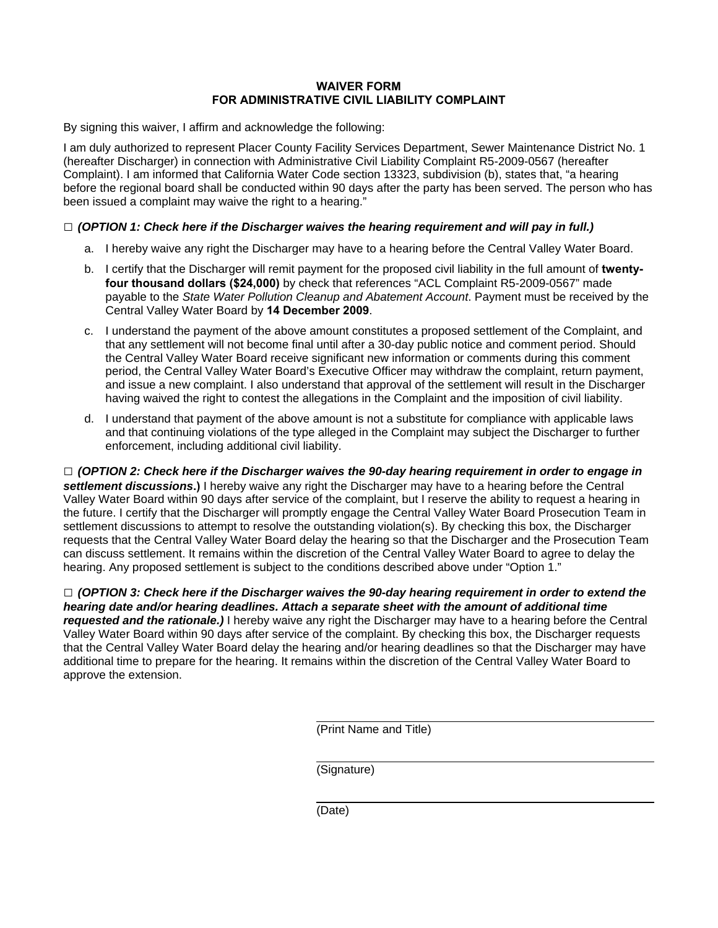### **WAIVER FORM FOR ADMINISTRATIVE CIVIL LIABILITY COMPLAINT**

By signing this waiver, I affirm and acknowledge the following:

I am duly authorized to represent Placer County Facility Services Department, Sewer Maintenance District No. 1 (hereafter Discharger) in connection with Administrative Civil Liability Complaint R5-2009-0567 (hereafter Complaint). I am informed that California Water Code section 13323, subdivision (b), states that, "a hearing before the regional board shall be conducted within 90 days after the party has been served. The person who has been issued a complaint may waive the right to a hearing."

### **□** *(OPTION 1: Check here if the Discharger waives the hearing requirement and will pay in full.)*

- a. I hereby waive any right the Discharger may have to a hearing before the Central Valley Water Board.
- b. I certify that the Discharger will remit payment for the proposed civil liability in the full amount of **twentyfour thousand dollars (\$24,000)** by check that references "ACL Complaint R5-2009-0567" made payable to the *State Water Pollution Cleanup and Abatement Account*. Payment must be received by the Central Valley Water Board by **14 December 2009**.
- c. I understand the payment of the above amount constitutes a proposed settlement of the Complaint, and that any settlement will not become final until after a 30-day public notice and comment period. Should the Central Valley Water Board receive significant new information or comments during this comment period, the Central Valley Water Board's Executive Officer may withdraw the complaint, return payment, and issue a new complaint. I also understand that approval of the settlement will result in the Discharger having waived the right to contest the allegations in the Complaint and the imposition of civil liability.
- d. I understand that payment of the above amount is not a substitute for compliance with applicable laws and that continuing violations of the type alleged in the Complaint may subject the Discharger to further enforcement, including additional civil liability.

**□** *(OPTION 2: Check here if the Discharger waives the 90-day hearing requirement in order to engage in settlement discussions***.)** I hereby waive any right the Discharger may have to a hearing before the Central Valley Water Board within 90 days after service of the complaint, but I reserve the ability to request a hearing in the future. I certify that the Discharger will promptly engage the Central Valley Water Board Prosecution Team in settlement discussions to attempt to resolve the outstanding violation(s). By checking this box, the Discharger requests that the Central Valley Water Board delay the hearing so that the Discharger and the Prosecution Team can discuss settlement. It remains within the discretion of the Central Valley Water Board to agree to delay the hearing. Any proposed settlement is subject to the conditions described above under "Option 1."

**□** *(OPTION 3: Check here if the Discharger waives the 90-day hearing requirement in order to extend the hearing date and/or hearing deadlines. Attach a separate sheet with the amount of additional time requested and the rationale.)* I hereby waive any right the Discharger may have to a hearing before the Central Valley Water Board within 90 days after service of the complaint. By checking this box, the Discharger requests that the Central Valley Water Board delay the hearing and/or hearing deadlines so that the Discharger may have additional time to prepare for the hearing. It remains within the discretion of the Central Valley Water Board to approve the extension.

(Print Name and Title)

(Signature)

(Date)